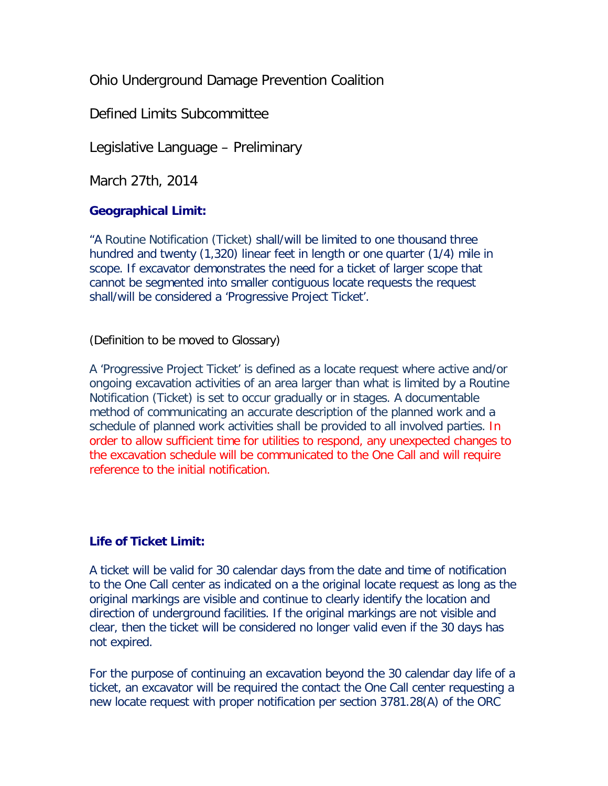Ohio Underground Damage Prevention Coalition

Defined Limits Subcommittee

Legislative Language – Preliminary

March 27th, 2014

# **Geographical Limit:**

"A Routine Notification (Ticket) shall/will be limited to one thousand three hundred and twenty (1,320) linear feet in length or one quarter (1/4) mile in scope. If excavator demonstrates the need for a ticket of larger scope that cannot be segmented into smaller contiguous locate requests the request shall/will be considered a 'Progressive Project Ticket'.

(Definition to be moved to Glossary)

A 'Progressive Project Ticket' is defined as a locate request where active and/or ongoing excavation activities of an area larger than what is limited by a Routine Notification (Ticket) is set to occur gradually or in stages. A documentable method of communicating an accurate description of the planned work and a schedule of planned work activities shall be provided to all involved parties. In order to allow sufficient time for utilities to respond, any unexpected changes to the excavation schedule will be communicated to the One Call and will require reference to the initial notification.

# **Life of Ticket Limit:**

A ticket will be valid for 30 calendar days from the date and time of notification to the One Call center as indicated on  $a$  the original locate request as long as the original markings are visible and continue to clearly identify the location and direction of underground facilities. If the original markings are not visible and clear, then the ticket will be considered no longer valid even if the 30 days has not expired.

For the purpose of continuing an excavation beyond the 30 calendar day life of a ticket, an excavator will be required the contact the One Call center requesting a new locate request with proper notification per section 3781.28(A) of the ORC